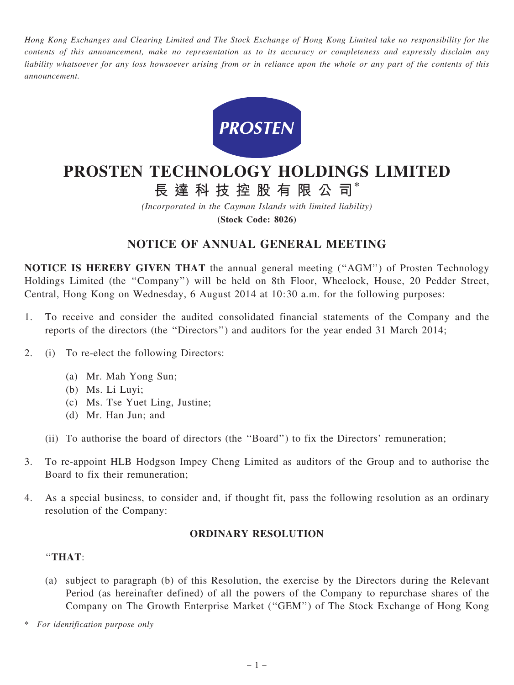Hong Kong Exchanges and Clearing Limited and The Stock Exchange of Hong Kong Limited take no responsibility for the contents of this announcement, make no representation as to its accuracy or completeness and expressly disclaim any liability whatsoever for any loss howsoever arising from or in reliance upon the whole or any part of the contents of this announcement.



# PROSTEN TECHNOLOGY HOLDINGS LIMITED

長 達 科 技 控 股 有 限 公 司\*

(Incorporated in the Cayman Islands with limited liability)

(Stock Code: 8026)

## NOTICE OF ANNUAL GENERAL MEETING

NOTICE IS HEREBY GIVEN THAT the annual general meeting (''AGM'') of Prosten Technology Holdings Limited (the ''Company'') will be held on 8th Floor, Wheelock, House, 20 Pedder Street, Central, Hong Kong on Wednesday, 6 August 2014 at 10:30 a.m. for the following purposes:

- 1. To receive and consider the audited consolidated financial statements of the Company and the reports of the directors (the ''Directors'') and auditors for the year ended 31 March 2014;
- 2. (i) To re-elect the following Directors:
	- (a) Mr. Mah Yong Sun;
	- (b) Ms. Li Luyi;
	- (c) Ms. Tse Yuet Ling, Justine;
	- (d) Mr. Han Jun; and
	- (ii) To authorise the board of directors (the ''Board'') to fix the Directors' remuneration;
- 3. To re-appoint HLB Hodgson Impey Cheng Limited as auditors of the Group and to authorise the Board to fix their remuneration;
- 4. As a special business, to consider and, if thought fit, pass the following resolution as an ordinary resolution of the Company:

### ORDINARY RESOLUTION

#### ''THAT:

(a) subject to paragraph (b) of this Resolution, the exercise by the Directors during the Relevant Period (as hereinafter defined) of all the powers of the Company to repurchase shares of the Company on The Growth Enterprise Market (''GEM'') of The Stock Exchange of Hong Kong

For identification purpose only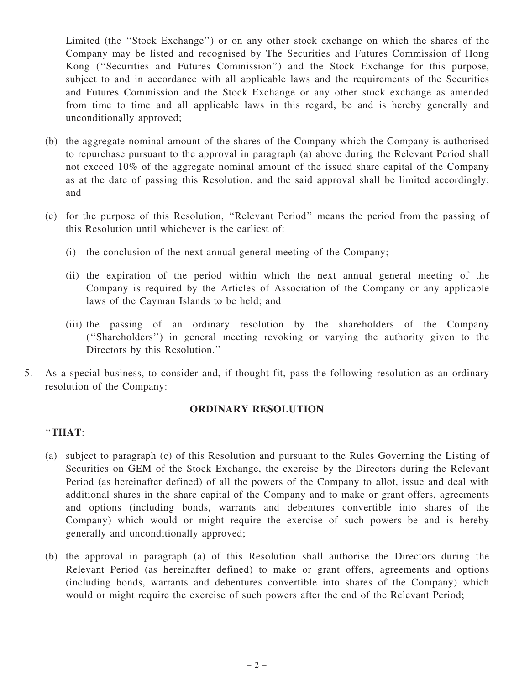Limited (the ''Stock Exchange'') or on any other stock exchange on which the shares of the Company may be listed and recognised by The Securities and Futures Commission of Hong Kong (''Securities and Futures Commission'') and the Stock Exchange for this purpose, subject to and in accordance with all applicable laws and the requirements of the Securities and Futures Commission and the Stock Exchange or any other stock exchange as amended from time to time and all applicable laws in this regard, be and is hereby generally and unconditionally approved;

- (b) the aggregate nominal amount of the shares of the Company which the Company is authorised to repurchase pursuant to the approval in paragraph (a) above during the Relevant Period shall not exceed 10% of the aggregate nominal amount of the issued share capital of the Company as at the date of passing this Resolution, and the said approval shall be limited accordingly; and
- (c) for the purpose of this Resolution, ''Relevant Period'' means the period from the passing of this Resolution until whichever is the earliest of:
	- (i) the conclusion of the next annual general meeting of the Company;
	- (ii) the expiration of the period within which the next annual general meeting of the Company is required by the Articles of Association of the Company or any applicable laws of the Cayman Islands to be held; and
	- (iii) the passing of an ordinary resolution by the shareholders of the Company (''Shareholders'') in general meeting revoking or varying the authority given to the Directors by this Resolution.''
- 5. As a special business, to consider and, if thought fit, pass the following resolution as an ordinary resolution of the Company:

#### ORDINARY RESOLUTION

#### ''THAT:

- (a) subject to paragraph (c) of this Resolution and pursuant to the Rules Governing the Listing of Securities on GEM of the Stock Exchange, the exercise by the Directors during the Relevant Period (as hereinafter defined) of all the powers of the Company to allot, issue and deal with additional shares in the share capital of the Company and to make or grant offers, agreements and options (including bonds, warrants and debentures convertible into shares of the Company) which would or might require the exercise of such powers be and is hereby generally and unconditionally approved;
- (b) the approval in paragraph (a) of this Resolution shall authorise the Directors during the Relevant Period (as hereinafter defined) to make or grant offers, agreements and options (including bonds, warrants and debentures convertible into shares of the Company) which would or might require the exercise of such powers after the end of the Relevant Period;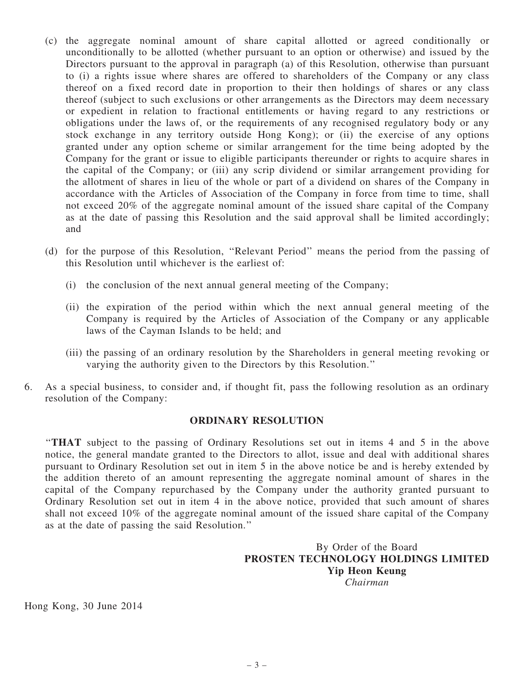- (c) the aggregate nominal amount of share capital allotted or agreed conditionally or unconditionally to be allotted (whether pursuant to an option or otherwise) and issued by the Directors pursuant to the approval in paragraph (a) of this Resolution, otherwise than pursuant to (i) a rights issue where shares are offered to shareholders of the Company or any class thereof on a fixed record date in proportion to their then holdings of shares or any class thereof (subject to such exclusions or other arrangements as the Directors may deem necessary or expedient in relation to fractional entitlements or having regard to any restrictions or obligations under the laws of, or the requirements of any recognised regulatory body or any stock exchange in any territory outside Hong Kong); or (ii) the exercise of any options granted under any option scheme or similar arrangement for the time being adopted by the Company for the grant or issue to eligible participants thereunder or rights to acquire shares in the capital of the Company; or (iii) any scrip dividend or similar arrangement providing for the allotment of shares in lieu of the whole or part of a dividend on shares of the Company in accordance with the Articles of Association of the Company in force from time to time, shall not exceed 20% of the aggregate nominal amount of the issued share capital of the Company as at the date of passing this Resolution and the said approval shall be limited accordingly; and
- (d) for the purpose of this Resolution, ''Relevant Period'' means the period from the passing of this Resolution until whichever is the earliest of:
	- (i) the conclusion of the next annual general meeting of the Company;
	- (ii) the expiration of the period within which the next annual general meeting of the Company is required by the Articles of Association of the Company or any applicable laws of the Cayman Islands to be held; and
	- (iii) the passing of an ordinary resolution by the Shareholders in general meeting revoking or varying the authority given to the Directors by this Resolution.''
- 6. As a special business, to consider and, if thought fit, pass the following resolution as an ordinary resolution of the Company:

#### ORDINARY RESOLUTION

''THAT subject to the passing of Ordinary Resolutions set out in items 4 and 5 in the above notice, the general mandate granted to the Directors to allot, issue and deal with additional shares pursuant to Ordinary Resolution set out in item 5 in the above notice be and is hereby extended by the addition thereto of an amount representing the aggregate nominal amount of shares in the capital of the Company repurchased by the Company under the authority granted pursuant to Ordinary Resolution set out in item 4 in the above notice, provided that such amount of shares shall not exceed 10% of the aggregate nominal amount of the issued share capital of the Company as at the date of passing the said Resolution.''

> By Order of the Board PROSTEN TECHNOLOGY HOLDINGS LIMITED Yip Heon Keung Chairman

Hong Kong, 30 June 2014